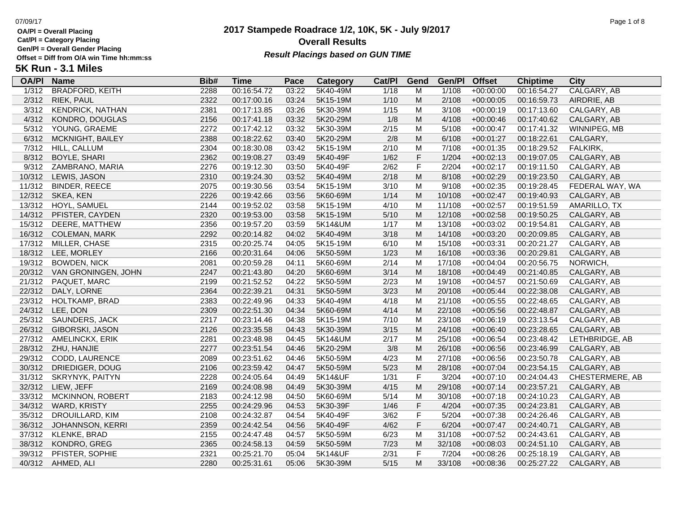**Cat/Pl = Category Placing**

**Gen/Pl = Overall Gender Placing**

### **2017 Stampede Roadrace 1/2, 10K, 5K - July 9/2017** 07/09/17 Page 1 of 8 **Overall Results** Gen/PI = Overall Gender Placing<br>Offset = Diff from O/A win Time hh:mm:ss *Result Placings based on GUN TIME*

| <b>OA/PI</b> | <b>Name</b>             | Bib# | Time        | Pace  | Category | Cat/PI | Gend        | Gen/Pl | <b>Offset</b> | <b>Chiptime</b> | City                   |
|--------------|-------------------------|------|-------------|-------|----------|--------|-------------|--------|---------------|-----------------|------------------------|
| 1/312        | <b>BRADFORD, KEITH</b>  | 2288 | 00:16:54.72 | 03:22 | 5K40-49M | 1/18   | M           | 1/108  | $+00:00:00$   | 00:16:54.27     | CALGARY, AB            |
| 2/312        | RIEK, PAUL              | 2322 | 00:17:00.16 | 03:24 | 5K15-19M | 1/10   | M           | 2/108  | $+00:00:05$   | 00:16:59.73     | AIRDRIE, AB            |
| 3/312        | <b>KENDRICK, NATHAN</b> | 2381 | 00:17:13.85 | 03:26 | 5K30-39M | 1/15   | M           | 3/108  | $+00:00:19$   | 00:17:13.60     | CALGARY, AB            |
| 4/312        | KONDRO, DOUGLAS         | 2156 | 00:17:41.18 | 03:32 | 5K20-29M | 1/8    | M           | 4/108  | $+00:00:46$   | 00:17:40.62     | CALGARY, AB            |
| 5/312        | YOUNG, GRAEME           | 2272 | 00:17:42.12 | 03:32 | 5K30-39M | 2/15   | M           | 5/108  | $+00:00:47$   | 00:17:41.32     | WINNIPEG, MB           |
| 6/312        | MCKNIGHT, BAILEY        | 2388 | 00:18:22.62 | 03:40 | 5K20-29M | 2/8    | M           | 6/108  | $+00:01:27$   | 00:18:22.61     | CALGARY,               |
| 7/312        | HILL, CALLUM            | 2304 | 00:18:30.08 | 03:42 | 5K15-19M | 2/10   | M           | 7/108  | $+00:01:35$   | 00:18:29.52     | FALKIRK,               |
| 8/312        | <b>BOYLE, SHARI</b>     | 2362 | 00:19:08.27 | 03:49 | 5K40-49F | 1/62   | $\mathsf F$ | 1/204  | $+00:02:13$   | 00:19:07.05     | CALGARY, AB            |
| 9/312        | ZAMBRANO, MARIA         | 2276 | 00:19:12.30 | 03:50 | 5K40-49F | 2/62   | $\mathsf F$ | 2/204  | $+00:02:17$   | 00:19:11.50     | CALGARY, AB            |
| 10/312       | LEWIS, JASON            | 2310 | 00:19:24.30 | 03:52 | 5K40-49M | 2/18   | M           | 8/108  | $+00:02:29$   | 00:19:23.50     | CALGARY, AB            |
| 11/312       | <b>BINDER, REECE</b>    | 2075 | 00:19:30.56 | 03:54 | 5K15-19M | 3/10   | M           | 9/108  | $+00:02:35$   | 00:19:28.45     | FEDERAL WAY, WA        |
| 12/312       | SKEA, KEN               | 2226 | 00:19:42.66 | 03:56 | 5K60-69M | 1/14   | M           | 10/108 | $+00:02:47$   | 00:19:40.93     | CALGARY, AB            |
| 13/312       | HOYL, SAMUEL            | 2144 | 00:19:52.02 | 03:58 | 5K15-19M | 4/10   | M           | 11/108 | $+00:02:57$   | 00:19:51.59     | AMARILLO, TX           |
| 14/312       | PFISTER, CAYDEN         | 2320 | 00:19:53.00 | 03:58 | 5K15-19M | 5/10   | M           | 12/108 | $+00:02:58$   | 00:19:50.25     | CALGARY, AB            |
| 15/312       | DEERE, MATTHEW          | 2356 | 00:19:57.20 | 03:59 | 5K14&UM  | 1/17   | M           | 13/108 | $+00:03:02$   | 00:19:54.81     | CALGARY, AB            |
| 16/312       | <b>COLEMAN, MARK</b>    | 2292 | 00:20:14.82 | 04:02 | 5K40-49M | 3/18   | M           | 14/108 | $+00:03:20$   | 00:20:09.85     | CALGARY, AB            |
| 17/312       | MILLER, CHASE           | 2315 | 00:20:25.74 | 04:05 | 5K15-19M | 6/10   | M           | 15/108 | $+00:03:31$   | 00:20:21.27     | CALGARY, AB            |
| 18/312       | LEE, MORLEY             | 2166 | 00:20:31.64 | 04:06 | 5K50-59M | 1/23   | M           | 16/108 | $+00:03:36$   | 00:20:29.81     | CALGARY, AB            |
| 19/312       | <b>BOWDEN, NICK</b>     | 2081 | 00:20:59.28 | 04:11 | 5K60-69M | 2/14   | M           | 17/108 | $+00:04:04$   | 00:20:56.75     | NORWICH,               |
| 20/312       | VAN GRONINGEN, JOHN     | 2247 | 00:21:43.80 | 04:20 | 5K60-69M | 3/14   | ${\sf M}$   | 18/108 | $+00:04:49$   | 00:21:40.85     | CALGARY, AB            |
| 21/312       | PAQUET, MARC            | 2199 | 00:21:52.52 | 04:22 | 5K50-59M | 2/23   | M           | 19/108 | $+00:04:57$   | 00:21:50.69     | CALGARY, AB            |
| 22/312       | DALY, LORNE             | 2364 | 00:22:39.21 | 04:31 | 5K50-59M | 3/23   | M           | 20/108 | $+00:05:44$   | 00:22:38.08     | CALGARY, AB            |
| 23/312       | HOLTKAMP, BRAD          | 2383 | 00:22:49.96 | 04:33 | 5K40-49M | 4/18   | M           | 21/108 | $+00:05:55$   | 00:22:48.65     | CALGARY, AB            |
| 24/312       | LEE, DON                | 2309 | 00:22:51.30 | 04:34 | 5K60-69M | 4/14   | M           | 22/108 | $+00:05:56$   | 00:22:48.87     | CALGARY, AB            |
| 25/312       | SAUNDERS, JACK          | 2217 | 00:23:14.46 | 04:38 | 5K15-19M | 7/10   | M           | 23/108 | $+00:06:19$   | 00:23:13.54     | CALGARY, AB            |
| 26/312       | GIBORSKI, JASON         | 2126 | 00:23:35.58 | 04:43 | 5K30-39M | 3/15   | M           | 24/108 | $+00:06:40$   | 00:23:28.65     | CALGARY, AB            |
| 27/312       | <b>AMELINCKX, ERIK</b>  | 2281 | 00:23:48.98 | 04:45 | 5K14&UM  | 2/17   | M           | 25/108 | $+00:06:54$   | 00:23:48.42     | LETHBRIDGE, AB         |
| 28/312       | ZHU, HANJIE             | 2277 | 00:23:51.54 | 04:46 | 5K20-29M | 3/8    | M           | 26/108 | $+00:06:56$   | 00:23:46.99     | CALGARY, AB            |
| 29/312       | CODD, LAURENCE          | 2089 | 00:23:51.62 | 04:46 | 5K50-59M | 4/23   | M           | 27/108 | $+00:06:56$   | 00:23:50.78     | CALGARY, AB            |
| 30/312       | DRIEDIGER, DOUG         | 2106 | 00:23:59.42 | 04:47 | 5K50-59M | 5/23   | M           | 28/108 | $+00:07:04$   | 00:23:54.15     | CALGARY, AB            |
| 31/312       | <b>SKRYNYK, PAITYN</b>  | 2228 | 00:24:05.64 | 04:49 | 5K14&UF  | $1/31$ | $\mathsf F$ | 3/204  | $+00:07:10$   | 00:24:04.43     | <b>CHESTERMERE, AB</b> |
| 32/312       | LIEW, JEFF              | 2169 | 00:24:08.98 | 04:49 | 5K30-39M | 4/15   | M           | 29/108 | $+00:07:14$   | 00:23:57.21     | CALGARY, AB            |
| 33/312       | MCKINNON, ROBERT        | 2183 | 00:24:12.98 | 04:50 | 5K60-69M | 5/14   | M           | 30/108 | $+00:07:18$   | 00:24:10.23     | CALGARY, AB            |
| 34/312       | WARD, KRISTY            | 2255 | 00:24:29.96 | 04:53 | 5K30-39F | 1/46   | $\mathsf F$ | 4/204  | $+00:07:35$   | 00:24:23.81     | CALGARY, AB            |
| 35/312       | DROUILLARD, KIM         | 2108 | 00:24:32.87 | 04:54 | 5K40-49F | 3/62   | $\mathsf F$ | 5/204  | $+00:07:38$   | 00:24:26.46     | CALGARY, AB            |
| 36/312       | <b>JOHANNSON, KERRI</b> | 2359 | 00:24:42.54 | 04:56 | 5K40-49F | 4/62   | $\mathsf F$ | 6/204  | $+00:07:47$   | 00:24:40.71     | CALGARY, AB            |
| 37/312       | KLENKE, BRAD            | 2155 | 00:24:47.48 | 04:57 | 5K50-59M | 6/23   | M           | 31/108 | $+00:07:52$   | 00:24:43.61     | CALGARY, AB            |
| 38/312       | KONDRO, GREG            | 2365 | 00:24:58.13 | 04:59 | 5K50-59M | 7/23   | M           | 32/108 | $+00:08:03$   | 00:24:51.10     | CALGARY, AB            |
| 39/312       | PFISTER, SOPHIE         | 2321 | 00:25:21.70 | 05:04 | 5K14&UF  | 2/31   | F           | 7/204  | $+00:08:26$   | 00:25:18.19     | CALGARY, AB            |
|              | 40/312 AHMED, ALI       | 2280 | 00:25:31.61 | 05:06 | 5K30-39M | $5/15$ | M           | 33/108 | $+00:08:36$   | 00:25:27.22     | CALGARY, AB            |
|              |                         |      |             |       |          |        |             |        |               |                 |                        |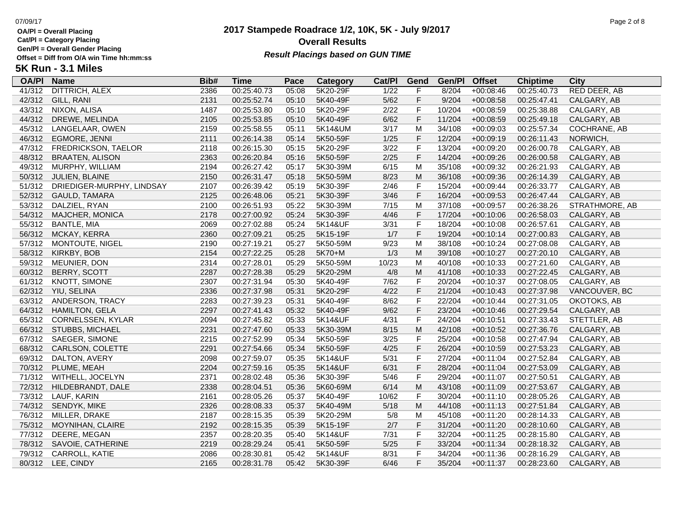**Cat/Pl = Category Placing**

**Gen/Pl = Overall Gender Placing**

### **2017 Stampede Roadrace 1/2, 10K, 5K - July 9/2017** 07/09/17 Page 2 of 8 **Overall Results** Gen/PI = Overall Gender Placing<br>Offset = Diff from O/A win Time hh:mm:ss *Result Placings based on GUN TIME*

| <b>OA/PI</b> | <b>Name</b>               | Bib# | Time        | Pace  | Category | Cat/PI         | Gend         | Gen/Pl | <b>Offset</b> | <b>Chiptime</b> | City           |
|--------------|---------------------------|------|-------------|-------|----------|----------------|--------------|--------|---------------|-----------------|----------------|
| 41/312       | <b>DITTRICH, ALEX</b>     | 2386 | 00:25:40.73 | 05:08 | 5K20-29F | $\frac{1}{22}$ | F            | 8/204  | $+00:08:46$   | 00:25:40.73     | RED DEER, AB   |
| 42/312       | GILL, RANI                | 2131 | 00:25:52.74 | 05:10 | 5K40-49F | $5/62$         | F            | 9/204  | $+00:08:58$   | 00:25:47.41     | CALGARY, AB    |
| 43/312       | NIXON, ALISA              | 1487 | 00:25:53.80 | 05:10 | 5K20-29F | 2/22           | F            | 10/204 | $+00:08:59$   | 00:25:38.88     | CALGARY, AB    |
| 44/312       | DREWE, MELINDA            | 2105 | 00:25:53.85 | 05:10 | 5K40-49F | 6/62           | $\mathsf F$  | 11/204 | $+00:08:59$   | 00:25:49.18     | CALGARY, AB    |
| 45/312       | LANGELAAR, OWEN           | 2159 | 00:25:58.55 | 05:11 | 5K14&UM  | 3/17           | M            | 34/108 | $+00:09:03$   | 00:25:57.34     | COCHRANE, AB   |
| 46/312       | EGMORE, JENNI             | 2111 | 00:26:14.38 | 05:14 | 5K50-59F | 1/25           | $\mathsf F$  | 12/204 | $+00:09:19$   | 00:26:11.43     | NORWICH,       |
| 47/312       | FREDRICKSON, TAELOR       | 2118 | 00:26:15.30 | 05:15 | 5K20-29F | 3/22           | F            | 13/204 | $+00:09:20$   | 00:26:00.78     | CALGARY, AB    |
| 48/312       | <b>BRAATEN, ALISON</b>    | 2363 | 00:26:20.84 | 05:16 | 5K50-59F | 2/25           | $\mathsf F$  | 14/204 | $+00:09:26$   | 00:26:00.58     | CALGARY, AB    |
| 49/312       | MURPHY, WILLIAM           | 2194 | 00:26:27.42 | 05:17 | 5K30-39M | 6/15           | M            | 35/108 | +00:09:32     | 00:26:21.93     | CALGARY, AB    |
| 50/312       | JULIEN, BLAINE            | 2150 | 00:26:31.47 | 05:18 | 5K50-59M | 8/23           | M            | 36/108 | $+00:09:36$   | 00:26:14.39     | CALGARY, AB    |
| 51/312       | DRIEDIGER-MURPHY, LINDSAY | 2107 | 00:26:39.42 | 05:19 | 5K30-39F | 2/46           | F            | 15/204 | $+00:09:44$   | 00:26:33.77     | CALGARY, AB    |
| 52/312       | GAULD, TAMARA             | 2125 | 00:26:48.06 | 05:21 | 5K30-39F | 3/46           | F            | 16/204 | $+00:09:53$   | 00:26:47.44     | CALGARY, AB    |
| 53/312       | DALZIEL, RYAN             | 2100 | 00:26:51.93 | 05:22 | 5K30-39M | 7/15           | M            | 37/108 | $+00:09:57$   | 00:26:38.26     | STRATHMORE, AB |
| 54/312       | MAJCHER, MONICA           | 2178 | 00:27:00.92 | 05:24 | 5K30-39F | 4/46           | $\mathsf F$  | 17/204 | $+00:10:06$   | 00:26:58.03     | CALGARY, AB    |
| 55/312       | <b>BANTLE, MIA</b>        | 2069 | 00:27:02.88 | 05:24 | 5K14&UF  | 3/31           | $\mathsf F$  | 18/204 | $+00:10:08$   | 00:26:57.61     | CALGARY, AB    |
| 56/312       | MCKAY, KERRA              | 2360 | 00:27:09.21 | 05:25 | 5K15-19F | 1/7            | $\mathsf F$  | 19/204 | $+00:10:14$   | 00:27:00.83     | CALGARY, AB    |
| 57/312       | MONTOUTE, NIGEL           | 2190 | 00:27:19.21 | 05:27 | 5K50-59M | 9/23           | M            | 38/108 | $+00:10:24$   | 00:27:08.08     | CALGARY, AB    |
| 58/312       | KIRKBY, BOB               | 2154 | 00:27:22.25 | 05:28 | 5K70+M   | 1/3            | M            | 39/108 | $+00:10:27$   | 00:27:20.10     | CALGARY, AB    |
| 59/312       | MEUNIER, DON              | 2314 | 00:27:28.01 | 05:29 | 5K50-59M | 10/23          | M            | 40/108 | $+00:10:33$   | 00:27:21.60     | CALGARY, AB    |
| 60/312       | <b>BERRY, SCOTT</b>       | 2287 | 00:27:28.38 | 05:29 | 5K20-29M | 4/8            | ${\sf M}$    | 41/108 | $+00:10:33$   | 00:27:22.45     | CALGARY, AB    |
| 61/312       | <b>KNOTT, SIMONE</b>      | 2307 | 00:27:31.94 | 05:30 | 5K40-49F | 7/62           | $\mathsf F$  | 20/204 | $+00:10:37$   | 00:27:08.05     | CALGARY, AB    |
| 62/312       | YIU, SELINA               | 2336 | 00:27:37.98 | 05:31 | 5K20-29F | 4/22           | F            | 21/204 | $+00:10:43$   | 00:27:37.98     | VANCOUVER, BC  |
| 63/312       | ANDERSON, TRACY           | 2283 | 00:27:39.23 | 05:31 | 5K40-49F | 8/62           | F            | 22/204 | $+00:10:44$   | 00:27:31.05     | OKOTOKS, AB    |
| 64/312       | <b>HAMILTON, GELA</b>     | 2297 | 00:27:41.43 | 05:32 | 5K40-49F | 9/62           | $\mathsf F$  | 23/204 | $+00:10:46$   | 00:27:29.54     | CALGARY, AB    |
| 65/312       | CORNELSSEN, KYLAR         | 2094 | 00:27:45.82 | 05:33 | 5K14&UF  | 4/31           | $\mathsf F$  | 24/204 | $+00:10:51$   | 00:27:33.43     | STETTLER, AB   |
| 66/312       | <b>STUBBS, MICHAEL</b>    | 2231 | 00:27:47.60 | 05:33 | 5K30-39M | 8/15           | M            | 42/108 | $+00:10:52$   | 00:27:36.76     | CALGARY, AB    |
| 67/312       | SAEGER, SIMONE            | 2215 | 00:27:52.99 | 05:34 | 5K50-59F | 3/25           | $\mathsf F$  | 25/204 | $+00:10:58$   | 00:27:47.94     | CALGARY, AB    |
| 68/312       | CARLSON, COLETTE          | 2291 | 00:27:54.66 | 05:34 | 5K50-59F | 4/25           | F            | 26/204 | $+00:10:59$   | 00:27:53.23     | CALGARY, AB    |
| 69/312       | DALTON, AVERY             | 2098 | 00:27:59.07 | 05:35 | 5K14&UF  | 5/31           | $\mathsf F$  | 27/204 | $+00:11:04$   | 00:27:52.84     | CALGARY, AB    |
| 70/312       | PLUME, MEAH               | 2204 | 00:27:59.16 | 05:35 | 5K14&UF  | 6/31           | $\mathsf F$  | 28/204 | $+00:11:04$   | 00:27:53.09     | CALGARY, AB    |
| 71/312       | WITHELL, JOCELYN          | 2371 | 00:28:02.48 | 05:36 | 5K30-39F | 5/46           | $\mathsf F$  | 29/204 | $+00:11:07$   | 00:27:50.51     | CALGARY, AB    |
| 72/312       | HILDEBRANDT, DALE         | 2338 | 00:28:04.51 | 05:36 | 5K60-69M | 6/14           | M            | 43/108 | $+00:11:09$   | 00:27:53.67     | CALGARY, AB    |
| 73/312       | LAUF, KARIN               | 2161 | 00:28:05.26 | 05:37 | 5K40-49F | 10/62          | $\mathsf F$  | 30/204 | $+00:11:10$   | 00:28:05.26     | CALGARY, AB    |
| 74/312       | SENDYK, MIKE              | 2326 | 00:28:08.33 | 05:37 | 5K40-49M | 5/18           | ${\sf M}$    | 44/108 | $+00:11:13$   | 00:27:51.84     | CALGARY, AB    |
| 76/312       | MILLER, DRAKE             | 2187 | 00:28:15.35 | 05:39 | 5K20-29M | 5/8            | M            | 45/108 | $+00:11:20$   | 00:28:14.33     | CALGARY, AB    |
| 75/312       | <b>MOYNIHAN, CLAIRE</b>   | 2192 | 00:28:15.35 | 05:39 | 5K15-19F | 2/7            | F            | 31/204 | $+00:11:20$   | 00:28:10.60     | CALGARY, AB    |
| 77/312       | DEERE, MEGAN              | 2357 | 00:28:20.35 | 05:40 | 5K14&UF  | 7/31           | $\mathsf{F}$ | 32/204 | $+00:11:25$   | 00:28:15.80     | CALGARY, AB    |
| 78/312       | SAVOIE, CATHERINE         | 2219 | 00:28:29.24 | 05:41 | 5K50-59F | 5/25           | $\mathsf F$  | 33/204 | $+00:11:34$   | 00:28:18.32     | CALGARY, AB    |
| 79/312       | CARROLL, KATIE            | 2086 | 00:28:30.81 | 05:42 | 5K14&UF  | 8/31           | F            | 34/204 | $+00:11:36$   | 00:28:16.29     | CALGARY, AB    |
|              | 80/312 LEE, CINDY         | 2165 | 00:28:31.78 | 05:42 | 5K30-39F | 6/46           | F            | 35/204 | $+00:11:37$   | 00:28:23.60     | CALGARY, AB    |
|              |                           |      |             |       |          |                |              |        |               |                 |                |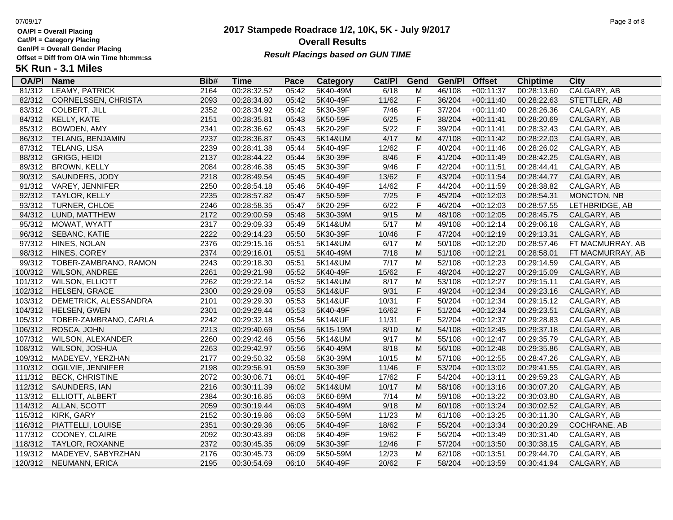**Cat/Pl = Category Placing**

**Gen/Pl = Overall Gender Placing**

### **2017 Stampede Roadrace 1/2, 10K, 5K - July 9/2017** 07/09/17 Page 3 of 8 **Overall Results** Gen/PI = Overall Gender Placing<br>Offset = Diff from O/A win Time hh:mm:ss *Result Placings based on GUN TIME*

| <b>OA/PI</b> | <b>Name</b>              | Bib# | Time        | Pace  | <b>Category</b> | Cat/PI | Gend        | Gen/Pl | <b>Offset</b> | <b>Chiptime</b> | City             |
|--------------|--------------------------|------|-------------|-------|-----------------|--------|-------------|--------|---------------|-----------------|------------------|
| 81/312       | <b>LEAMY, PATRICK</b>    | 2164 | 00:28:32.52 | 05:42 | 5K40-49M        | 6/18   | M           | 46/108 | $+00:11:37$   | 00:28:13.60     | CALGARY, AB      |
| 82/312       | CORNELSSEN, CHRISTA      | 2093 | 00:28:34.80 | 05:42 | 5K40-49F        | 11/62  | F           | 36/204 | $+00:11:40$   | 00:28:22.63     | STETTLER, AB     |
| 83/312       | <b>COLBERT, JILL</b>     | 2352 | 00:28:34.92 | 05:42 | 5K30-39F        | 7/46   | $\mathsf F$ | 37/204 | $+00:11:40$   | 00:28:26.36     | CALGARY, AB      |
| 84/312       | KELLY, KATE              | 2151 | 00:28:35.81 | 05:43 | 5K50-59F        | 6/25   | F           | 38/204 | $+00:11:41$   | 00:28:20.69     | CALGARY, AB      |
| 85/312       | BOWDEN, AMY              | 2341 | 00:28:36.62 | 05:43 | 5K20-29F        | 5/22   | $\mathsf F$ | 39/204 | $+00:11:41$   | 00:28:32.43     | CALGARY, AB      |
| 86/312       | TELANG, BENJAMIN         | 2237 | 00:28:36.87 | 05:43 | 5K14&UM         | 4/17   | M           | 47/108 | $+00:11:42$   | 00:28:22.03     | CALGARY, AB      |
| 87/312       | TELANG, LISA             | 2239 | 00:28:41.38 | 05:44 | 5K40-49F        | 12/62  | $\mathsf F$ | 40/204 | $+00:11:46$   | 00:28:26.02     | CALGARY, AB      |
| 88/312       | <b>GRIGG, HEIDI</b>      | 2137 | 00:28:44.22 | 05:44 | 5K30-39F        | 8/46   | $\mathsf F$ | 41/204 | $+00:11:49$   | 00:28:42.25     | CALGARY, AB      |
| 89/312       | <b>BROWN, KELLY</b>      | 2084 | 00:28:46.38 | 05:45 | 5K30-39F        | 9/46   | $\mathsf F$ | 42/204 | $+00:11:51$   | 00:28:44.41     | CALGARY, AB      |
| 90/312       | SAUNDERS, JODY           | 2218 | 00:28:49.54 | 05:45 | 5K40-49F        | 13/62  | $\mathsf F$ | 43/204 | $+00:11:54$   | 00:28:44.77     | CALGARY, AB      |
| 91/312       | VAREY, JENNIFER          | 2250 | 00:28:54.18 | 05:46 | 5K40-49F        | 14/62  | $\mathsf F$ | 44/204 | $+00:11:59$   | 00:28:38.82     | CALGARY, AB      |
| 92/312       | TAYLOR, KELLY            | 2235 | 00:28:57.82 | 05:47 | 5K50-59F        | 7/25   | F           | 45/204 | $+00:12:03$   | 00:28:54.31     | MONCTON, NB      |
| 93/312       | TURNER, CHLOE            | 2246 | 00:28:58.35 | 05:47 | 5K20-29F        | 6/22   | $\mathsf F$ | 46/204 | $+00:12:03$   | 00:28:57.55     | LETHBRIDGE, AB   |
| 94/312       | LUND, MATTHEW            | 2172 | 00:29:00.59 | 05:48 | 5K30-39M        | 9/15   | ${\sf M}$   | 48/108 | $+00:12:05$   | 00:28:45.75     | CALGARY, AB      |
| 95/312       | MOWAT, WYATT             | 2317 | 00:29:09.33 | 05:49 | 5K14&UM         | 5/17   | M           | 49/108 | $+00:12:14$   | 00:29:06.18     | CALGARY, AB      |
| 96/312       | SEBANC, KATIE            | 2222 | 00:29:14.23 | 05:50 | 5K30-39F        | 10/46  | $\mathsf F$ | 47/204 | $+00:12:19$   | 00:29:13.31     | CALGARY, AB      |
| 97/312       | HINES, NOLAN             | 2376 | 00:29:15.16 | 05:51 | 5K14&UM         | 6/17   | M           | 50/108 | $+00:12:20$   | 00:28:57.46     | FT MACMURRAY, AB |
| 98/312       | HINES, COREY             | 2374 | 00:29:16.01 | 05:51 | 5K40-49M        | 7/18   | M           | 51/108 | $+00:12:21$   | 00:28:58.01     | FT MACMURRAY, AB |
| 99/312       | TOBER-ZAMBRANO, RAMON    | 2243 | 00:29:18.30 | 05:51 | 5K14&UM         | 7/17   | M           | 52/108 | $+00:12:23$   | 00:29:14.59     | CALGARY, AB      |
| 100/312      | <b>WILSON, ANDREE</b>    | 2261 | 00:29:21.98 | 05:52 | 5K40-49F        | 15/62  | $\mathsf F$ | 48/204 | $+00:12:27$   | 00:29:15.09     | CALGARY, AB      |
| 101/312      | <b>WILSON, ELLIOTT</b>   | 2262 | 00:29:22.14 | 05:52 | 5K14&UM         | 8/17   | M           | 53/108 | $+00:12:27$   | 00:29:15.11     | CALGARY, AB      |
| 102/312      | HELSEN, GRACE            | 2300 | 00:29:29.09 | 05:53 | 5K14&UF         | 9/31   | $\mathsf F$ | 49/204 | $+00:12:34$   | 00:29:23.16     | CALGARY, AB      |
| 103/312      | DEMETRICK, ALESSANDRA    | 2101 | 00:29:29.30 | 05:53 | 5K14&UF         | 10/31  | $\mathsf F$ | 50/204 | $+00:12:34$   | 00:29:15.12     | CALGARY, AB      |
| 104/312      | <b>HELSEN, GWEN</b>      | 2301 | 00:29:29.44 | 05:53 | 5K40-49F        | 16/62  | F           | 51/204 | $+00:12:34$   | 00:29:23.51     | CALGARY, AB      |
| 105/312      | TOBER-ZAMBRANO, CARLA    | 2242 | 00:29:32.18 | 05:54 | 5K14&UF         | 11/31  | $\mathsf F$ | 52/204 | $+00:12:37$   | 00:29:28.83     | CALGARY, AB      |
| 106/312      | ROSCA, JOHN              | 2213 | 00:29:40.69 | 05:56 | 5K15-19M        | 8/10   | ${\sf M}$   | 54/108 | $+00:12:45$   | 00:29:37.18     | CALGARY, AB      |
| 107/312      | <b>WILSON, ALEXANDER</b> | 2260 | 00:29:42.46 | 05:56 | 5K14&UM         | 9/17   | M           | 55/108 | $+00:12:47$   | 00:29:35.79     | CALGARY, AB      |
| 108/312      | WILSON, JOSHUA           | 2263 | 00:29:42.97 | 05:56 | 5K40-49M        | 8/18   | M           | 56/108 | $+00:12:48$   | 00:29:35.86     | CALGARY, AB      |
| 109/312      | MADEYEV, YERZHAN         | 2177 | 00:29:50.32 | 05:58 | 5K30-39M        | 10/15  | M           | 57/108 | $+00:12:55$   | 00:28:47.26     | CALGARY, AB      |
| 110/312      | OGILVIE, JENNIFER        | 2198 | 00:29:56.91 | 05:59 | 5K30-39F        | 11/46  | $\mathsf F$ | 53/204 | $+00:13:02$   | 00:29:41.55     | CALGARY, AB      |
| 111/312      | <b>BECK, CHRISTINE</b>   | 2072 | 00:30:06.71 | 06:01 | 5K40-49F        | 17/62  | $\mathsf F$ | 54/204 | $+00:13:11$   | 00:29:59.23     | CALGARY, AB      |
| 112/312      | SAUNDERS, IAN            | 2216 | 00:30:11.39 | 06:02 | 5K14&UM         | 10/17  | ${\sf M}$   | 58/108 | $+00:13:16$   | 00:30:07.20     | CALGARY, AB      |
| 113/312      | ELLIOTT, ALBERT          | 2384 | 00:30:16.85 | 06:03 | 5K60-69M        | 7/14   | M           | 59/108 | $+00:13:22$   | 00:30:03.80     | CALGARY, AB      |
| 114/312      | ALLAN, SCOTT             | 2059 | 00:30:19.44 | 06:03 | 5K40-49M        | 9/18   | M           | 60/108 | $+00:13:24$   | 00:30:02.52     | CALGARY, AB      |
| 115/312      | KIRK, GARY               | 2152 | 00:30:19.86 | 06:03 | 5K50-59M        | 11/23  | M           | 61/108 | $+00:13:25$   | 00:30:11.30     | CALGARY, AB      |
| 116/312      | PIATTELLI, LOUISE        | 2351 | 00:30:29.36 | 06:05 | 5K40-49F        | 18/62  | F           | 55/204 | $+00:13:34$   | 00:30:20.29     | COCHRANE, AB     |
| 117/312      | COONEY, CLAIRE           | 2092 | 00:30:43.89 | 06:08 | 5K40-49F        | 19/62  | $\mathsf F$ | 56/204 | $+00:13:49$   | 00:30:31.40     | CALGARY, AB      |
| 118/312      | TAYLOR, ROXANNE          | 2372 | 00:30:45.35 | 06:09 | 5K30-39F        | 12/46  | F           | 57/204 | $+00:13:50$   | 00:30:38.15     | CALGARY, AB      |
| 119/312      | MADEYEV, SABYRZHAN       | 2176 | 00:30:45.73 | 06:09 | 5K50-59M        | 12/23  | M           | 62/108 | $+00:13:51$   | 00:29:44.70     | CALGARY, AB      |
|              | 120/312 NEUMANN, ERICA   | 2195 | 00:30:54.69 | 06:10 | 5K40-49F        | 20/62  | F           | 58/204 | $+00:13:59$   | 00:30:41.94     | CALGARY, AB      |
|              |                          |      |             |       |                 |        |             |        |               |                 |                  |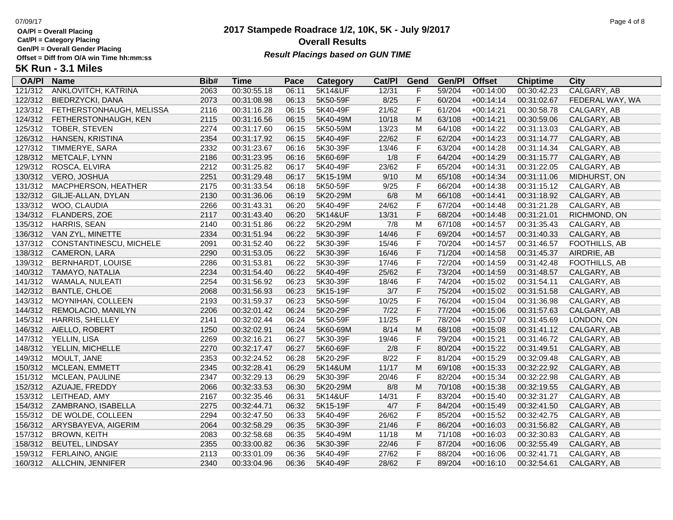**Cat/Pl = Category Placing**

**Gen/Pl = Overall Gender Placing**

# **2017 Stampede Roadrace 1/2, 10K, 5K - July 9/2017** 07/09/17 Page 4 of 8 **Overall Results** Gen/PI = Overall Gender Placing<br>Offset = Diff from O/A win Time hh:mm:ss<br>Tik Disk Literature of the Literature of the Literature of the Literature of the Literature of the Literature of

| <b>5K Run - 3.1 Miles</b> |  |
|---------------------------|--|
|---------------------------|--|

| <b>OA/PI</b> | <b>Name</b>               | Bib# | <b>Time</b> | Pace  | Category           | Cat/PI | Gend        | Gen/Pl | <b>Offset</b> | <b>Chiptime</b> | City            |
|--------------|---------------------------|------|-------------|-------|--------------------|--------|-------------|--------|---------------|-----------------|-----------------|
| 121/312      | ANKLOVITCH, KATRINA       | 2063 | 00:30:55.18 | 06:11 | <b>5K14&amp;UF</b> | 12/31  | F           | 59/204 | $+00:14:00$   | 00:30:42.23     | CALGARY, AB     |
| 122/312      | BIEDRZYCKI, DANA          | 2073 | 00:31:08.98 | 06:13 | 5K50-59F           | 8/25   | $\mathsf F$ | 60/204 | $+00:14:14$   | 00:31:02.67     | FEDERAL WAY, WA |
| 123/312      | FETHERSTONHAUGH, MELISSA  | 2116 | 00:31:16.28 | 06:15 | 5K40-49F           | 21/62  | $\mathsf F$ | 61/204 | $+00:14:21$   | 00:30:58.78     | CALGARY, AB     |
| 124/312      | FETHERSTONHAUGH, KEN      | 2115 | 00:31:16.56 | 06:15 | 5K40-49M           | 10/18  | M           | 63/108 | $+00:14:21$   | 00:30:59.06     | CALGARY, AB     |
| 125/312      | <b>TOBER, STEVEN</b>      | 2274 | 00:31:17.60 | 06:15 | 5K50-59M           | 13/23  | M           | 64/108 | $+00:14:22$   | 00:31:13.03     | CALGARY, AB     |
| 126/312      | HANSEN, KRISTINA          | 2354 | 00:31:17.92 | 06:15 | 5K40-49F           | 22/62  | $\mathsf F$ | 62/204 | $+00:14:23$   | 00:31:14.77     | CALGARY, AB     |
| 127/312      | TIMMERYE, SARA            | 2332 | 00:31:23.67 | 06:16 | 5K30-39F           | 13/46  | $\mathsf F$ | 63/204 | $+00:14:28$   | 00:31:14.34     | CALGARY, AB     |
| 128/312      | METCALF, LYNN             | 2186 | 00:31:23.95 | 06:16 | 5K60-69F           | 1/8    | $\mathsf F$ | 64/204 | $+00:14:29$   | 00:31:15.77     | CALGARY, AB     |
| 129/312      | ROSCA, ELVIRA             | 2212 | 00:31:25.82 | 06:17 | 5K40-49F           | 23/62  | $\mathsf F$ | 65/204 | $+00:14:31$   | 00:31:22.05     | CALGARY, AB     |
| 130/312      | VERO, JOSHUA              | 2251 | 00:31:29.48 | 06:17 | 5K15-19M           | 9/10   | M           | 65/108 | $+00:14:34$   | 00:31:11.06     | MIDHURST, ON    |
| 131/312      | MACPHERSON, HEATHER       | 2175 | 00:31:33.54 | 06:18 | 5K50-59F           | 9/25   | $\mathsf F$ | 66/204 | $+00:14:38$   | 00:31:15.12     | CALGARY, AB     |
| 132/312      | GILJE-ALLAN, DYLAN        | 2130 | 00:31:36.06 | 06:19 | 5K20-29M           | 6/8    | M           | 66/108 | $+00:14:41$   | 00:31:18.92     | CALGARY, AB     |
| 133/312      | WOO, CLAUDIA              | 2266 | 00:31:43.31 | 06:20 | 5K40-49F           | 24/62  | $\mathsf F$ | 67/204 | $+00:14:48$   | 00:31:21.28     | CALGARY, AB     |
| 134/312      | FLANDERS, ZOE             | 2117 | 00:31:43.40 | 06:20 | 5K14&UF            | 13/31  | $\mathsf F$ | 68/204 | $+00:14:48$   | 00:31:21.01     | RICHMOND, ON    |
| 135/312      | <b>HARRIS, SEAN</b>       | 2140 | 00:31:51.86 | 06:22 | 5K20-29M           | 7/8    | M           | 67/108 | $+00:14:57$   | 00:31:35.43     | CALGARY, AB     |
| 136/312      | VAN ZYL, MINETTE          | 2334 | 00:31:51.94 | 06:22 | 5K30-39F           | 14/46  | $\mathsf F$ | 69/204 | $+00:14:57$   | 00:31:40.33     | CALGARY, AB     |
| 137/312      | CONSTANTINESCU, MICHELE   | 2091 | 00:31:52.40 | 06:22 | 5K30-39F           | 15/46  | $\mathsf F$ | 70/204 | $+00:14:57$   | 00:31:46.57     | FOOTHILLS, AB   |
| 138/312      | CAMERON, LARA             | 2290 | 00:31:53.05 | 06:22 | 5K30-39F           | 16/46  | $\mathsf F$ | 71/204 | $+00:14:58$   | 00:31:45.37     | AIRDRIE, AB     |
| 139/312      | <b>BERNHARDT, LOUISE</b>  | 2286 | 00:31:53.81 | 06:22 | 5K30-39F           | 17/46  | $\mathsf F$ | 72/204 | $+00:14:59$   | 00:31:42.48     | FOOTHILLS, AB   |
| 140/312      | TAMAYO, NATALIA           | 2234 | 00:31:54.40 | 06:22 | 5K40-49F           | 25/62  | $\mathsf F$ | 73/204 | $+00:14:59$   | 00:31:48.57     | CALGARY, AB     |
| 141/312      | WAMALA, NULEATI           | 2254 | 00:31:56.92 | 06:23 | 5K30-39F           | 18/46  | $\mathsf F$ | 74/204 | $+00:15:02$   | 00:31:54.11     | CALGARY, AB     |
| 142/312      | <b>BANTLE, CHLOE</b>      | 2068 | 00:31:56.93 | 06:23 | 5K15-19F           | $3/7$  | $\mathsf F$ | 75/204 | $+00:15:02$   | 00:31:51.58     | CALGARY, AB     |
| 143/312      | MOYNIHAN, COLLEEN         | 2193 | 00:31:59.37 | 06:23 | 5K50-59F           | 10/25  | $\mathsf F$ | 76/204 | $+00:15:04$   | 00:31:36.98     | CALGARY, AB     |
| 144/312      | REMOLACIO, MANILYN        | 2206 | 00:32:01.42 | 06:24 | 5K20-29F           | $7/22$ | $\mathsf F$ | 77/204 | $+00:15:06$   | 00:31:57.63     | CALGARY, AB     |
| 145/312      | HARRIS, SHELLEY           | 2141 | 00:32:02.44 | 06:24 | 5K50-59F           | 11/25  | $\mathsf F$ | 78/204 | $+00:15:07$   | 00:31:45.69     | LONDON, ON      |
| 146/312      | AIELLO, ROBERT            | 1250 | 00:32:02.91 | 06:24 | 5K60-69M           | 8/14   | M           | 68/108 | $+00:15:08$   | 00:31:41.12     | CALGARY, AB     |
| 147/312      | YELLIN, LISA              | 2269 | 00:32:16.21 | 06:27 | 5K30-39F           | 19/46  | $\mathsf F$ | 79/204 | $+00:15:21$   | 00:31:46.72     | CALGARY, AB     |
| 148/312      | YELLIN, MICHELLE          | 2270 | 00:32:17.47 | 06:27 | 5K60-69F           | 2/8    | $\mathsf F$ | 80/204 | $+00:15:22$   | 00:31:49.51     | CALGARY, AB     |
| 149/312      | MOULT, JANE               | 2353 | 00:32:24.52 | 06:28 | 5K20-29F           | 8/22   | $\mathsf F$ | 81/204 | $+00:15:29$   | 00:32:09.48     | CALGARY, AB     |
| 150/312      | MCLEAN, EMMETT            | 2345 | 00:32:28.41 | 06:29 | 5K14&UM            | 11/17  | M           | 69/108 | $+00:15:33$   | 00:32:22.92     | CALGARY, AB     |
| 151/312      | MCLEAN, PAULINE           | 2347 | 00:32:29.13 | 06:29 | 5K30-39F           | 20/46  | $\mathsf F$ | 82/204 | $+00:15:34$   | 00:32:22.98     | CALGARY, AB     |
| 152/312      | AZUAJE, FREDDY            | 2066 | 00:32:33.53 | 06:30 | 5K20-29M           | 8/8    | M           | 70/108 | $+00:15:38$   | 00:32:19.55     | CALGARY, AB     |
| 153/312      | LEITHEAD, AMY             | 2167 | 00:32:35.46 | 06:31 | 5K14&UF            | 14/31  | $\mathsf F$ | 83/204 | $+00:15:40$   | 00:32:31.27     | CALGARY, AB     |
| 154/312      | ZAMBRANO, ISABELLA        | 2275 | 00:32:44.71 | 06:32 | 5K15-19F           | 4/7    | $\mathsf F$ | 84/204 | $+00:15:49$   | 00:32:41.50     | CALGARY, AB     |
| 155/312      | DE WOLDE, COLLEEN         | 2294 | 00:32:47.50 | 06:33 | 5K40-49F           | 26/62  | $\mathsf F$ | 85/204 | $+00:15:52$   | 00:32:42.75     | CALGARY, AB     |
| 156/312      | ARYSBAYEVA, AIGERIM       | 2064 | 00:32:58.29 | 06:35 | 5K30-39F           | 21/46  | $\mathsf F$ | 86/204 | $+00:16:03$   | 00:31:56.82     | CALGARY, AB     |
| 157/312      | <b>BROWN, KEITH</b>       | 2083 | 00:32:58.68 | 06:35 | 5K40-49M           | 11/18  | M           | 71/108 | $+00:16:03$   | 00:32:30.83     | CALGARY, AB     |
| 158/312      | <b>BEUTEL, LINDSAY</b>    | 2355 | 00:33:00.82 | 06:36 | 5K30-39F           | 22/46  | $\mathsf F$ | 87/204 | $+00:16:06$   | 00:32:55.49     | CALGARY, AB     |
| 159/312      | FERLAINO, ANGIE           | 2113 | 00:33:01.09 | 06:36 | 5K40-49F           | 27/62  | $\mathsf F$ | 88/204 | $+00:16:06$   | 00:32:41.71     | CALGARY, AB     |
|              | 160/312 ALLCHIN, JENNIFER | 2340 | 00:33:04.96 | 06:36 | 5K40-49F           | 28/62  | F           | 89/204 | $+00:16:10$   | 00:32:54.61     | CALGARY, AB     |
|              |                           |      |             |       |                    |        |             |        |               |                 |                 |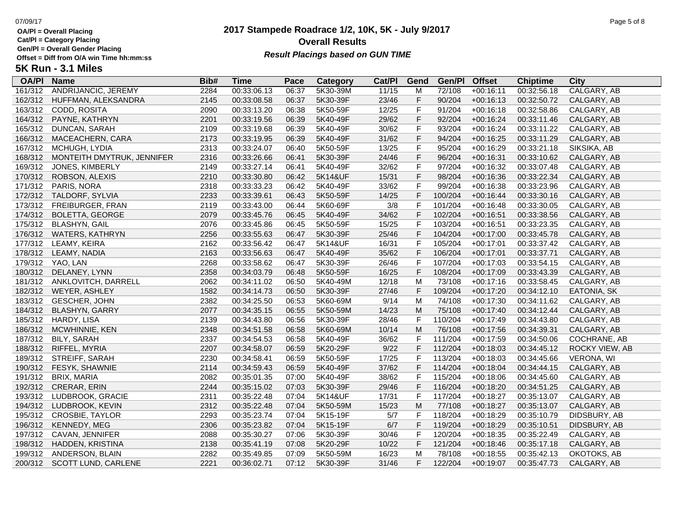**Cat/Pl = Category Placing**

**Gen/Pl = Overall Gender Placing**

### **2017 Stampede Roadrace 1/2, 10K, 5K - July 9/2017** 07/09/17 Page 5 of 8 **Overall Results Result Placings based on GUN TIME**

| <b>OA/PI</b> | <b>Name</b>                | Bib# | Time        | Pace  | Category | Cat/PI | Gend           | Gen/Pl  | <b>Offset</b> | <b>Chiptime</b> | City               |
|--------------|----------------------------|------|-------------|-------|----------|--------|----------------|---------|---------------|-----------------|--------------------|
| 161/312      | <b>ANDRIJANCIC, JEREMY</b> | 2284 | 00:33:06.13 | 06:37 | 5K30-39M | 11/15  | M              | 72/108  | $+00:16:11$   | 00:32:56.18     | CALGARY, AB        |
| 162/312      | HUFFMAN, ALEKSANDRA        | 2145 | 00:33:08.58 | 06:37 | 5K30-39F | 23/46  | F              | 90/204  | $+00:16:13$   | 00:32:50.72     | CALGARY, AB        |
| 163/312      | CODD, ROSITA               | 2090 | 00:33:13.20 | 06:38 | 5K50-59F | 12/25  | F              | 91/204  | $+00:16:18$   | 00:32:58.86     | CALGARY, AB        |
| 164/312      | PAYNE, KATHRYN             | 2201 | 00:33:19.56 | 06:39 | 5K40-49F | 29/62  | F              | 92/204  | $+00:16:24$   | 00:33:11.46     | CALGARY, AB        |
| 165/312      | DUNCAN, SARAH              | 2109 | 00:33:19.68 | 06:39 | 5K40-49F | 30/62  | F              | 93/204  | $+00:16:24$   | 00:33:11.22     | CALGARY, AB        |
| 166/312      | MACEACHERN, CARA           | 2173 | 00:33:19.95 | 06:39 | 5K40-49F | 31/62  | $\mathsf F$    | 94/204  | $+00:16:25$   | 00:33:11.29     | CALGARY, AB        |
| 167/312      | MCHUGH, LYDIA              | 2313 | 00:33:24.07 | 06:40 | 5K50-59F | 13/25  | $\mathsf{F}$   | 95/204  | $+00:16:29$   | 00:33:21.18     | SIKSIKA, AB        |
| 168/312      | MONTEITH DMYTRUK, JENNIFER | 2316 | 00:33:26.66 | 06:41 | 5K30-39F | 24/46  | $\mathsf F$    | 96/204  | $+00:16:31$   | 00:33:10.62     | CALGARY, AB        |
| 169/312      | JONES, KIMBERLY            | 2149 | 00:33:27.14 | 06:41 | 5K40-49F | 32/62  | $\mathsf F$    | 97/204  | $+00:16:32$   | 00:33:07.48     | CALGARY, AB        |
| 170/312      | ROBSON, ALEXIS             | 2210 | 00:33:30.80 | 06:42 | 5K14&UF  | 15/31  | $\mathsf F$    | 98/204  | $+00:16:36$   | 00:33:22.34     | CALGARY, AB        |
| 171/312      | PARIS, NORA                | 2318 | 00:33:33.23 | 06:42 | 5K40-49F | 33/62  | F              | 99/204  | $+00:16:38$   | 00:33:23.96     | CALGARY, AB        |
| 172/312      | TALDORF, SYLVIA            | 2233 | 00:33:39.61 | 06:43 | 5K50-59F | 14/25  | F              | 100/204 | $+00:16:44$   | 00:33:30.16     | CALGARY, AB        |
| 173/312      | FREIBURGER, FRAN           | 2119 | 00:33:43.00 | 06:44 | 5K60-69F | 3/8    | $\mathsf{F}$   | 101/204 | $+00:16:48$   | 00:33:30.05     | CALGARY, AB        |
| 174/312      | <b>BOLETTA, GEORGE</b>     | 2079 | 00:33:45.76 | 06:45 | 5K40-49F | 34/62  | $\mathsf{F}$   | 102/204 | $+00:16:51$   | 00:33:38.56     | CALGARY, AB        |
| 175/312      | <b>BLASHYN, GAIL</b>       | 2076 | 00:33:45.86 | 06:45 | 5K50-59F | 15/25  | $\mathsf{F}$   | 103/204 | $+00:16:51$   | 00:33:23.35     | CALGARY, AB        |
| 176/312      | <b>WATERS, KATHRYN</b>     | 2256 | 00:33:55.63 | 06:47 | 5K30-39F | 25/46  | $\mathsf{F}$   | 104/204 | $+00:17:00$   | 00:33:45.78     | CALGARY, AB        |
| 177/312      | LEAMY, KEIRA               | 2162 | 00:33:56.42 | 06:47 | 5K14&UF  | 16/31  | $\mathsf{F}$   | 105/204 | $+00:17:01$   | 00:33:37.42     | CALGARY, AB        |
| 178/312      | LEAMY, NADIA               | 2163 | 00:33:56.63 | 06:47 | 5K40-49F | 35/62  | F              | 106/204 | $+00:17:01$   | 00:33:37.71     | CALGARY, AB        |
| 179/312      | YAO, LAN                   | 2268 | 00:33:58.62 | 06:47 | 5K30-39F | 26/46  | $\mathsf{F}$   | 107/204 | $+00:17:03$   | 00:33:54.15     | CALGARY, AB        |
| 180/312      | DELANEY, LYNN              | 2358 | 00:34:03.79 | 06:48 | 5K50-59F | 16/25  | $\mathsf F$    | 108/204 | $+00:17:09$   | 00:33:43.39     | CALGARY, AB        |
| 181/312      | ANKLOVITCH, DARRELL        | 2062 | 00:34:11.02 | 06:50 | 5K40-49M | 12/18  | M              | 73/108  | $+00:17:16$   | 00:33:58.45     | CALGARY, AB        |
| 182/312      | WEYER, ASHLEY              | 1582 | 00:34:14.73 | 06:50 | 5K30-39F | 27/46  | $\mathsf F$    | 109/204 | $+00:17:20$   | 00:34:12.10     | <b>EATONIA, SK</b> |
| 183/312      | GESCHER, JOHN              | 2382 | 00:34:25.50 | 06:53 | 5K60-69M | 9/14   | м              | 74/108  | $+00:17:30$   | 00:34:11.62     | CALGARY, AB        |
| 184/312      | <b>BLASHYN, GARRY</b>      | 2077 | 00:34:35.15 | 06:55 | 5K50-59M | 14/23  | ${\sf M}$      | 75/108  | $+00:17:40$   | 00:34:12.44     | CALGARY, AB        |
| 185/312      | HARDY, LISA                | 2139 | 00:34:43.80 | 06:56 | 5K30-39F | 28/46  | $\overline{F}$ | 110/204 | $+00:17:49$   | 00:34:43.80     | CALGARY, AB        |
| 186/312      | MCWHINNIE, KEN             | 2348 | 00:34:51.58 | 06:58 | 5K60-69M | 10/14  | ${\sf M}$      | 76/108  | $+00:17:56$   | 00:34:39.31     | CALGARY, AB        |
| 187/312      | <b>BILY, SARAH</b>         | 2337 | 00:34:54.53 | 06:58 | 5K40-49F | 36/62  | $\mathsf{F}$   | 111/204 | $+00:17:59$   | 00:34:50.06     | COCHRANE, AB       |
| 188/312      | RIFFEL, MYRIA              | 2207 | 00:34:58.07 | 06:59 | 5K20-29F | 9/22   | F              | 112/204 | $+00:18:03$   | 00:34:45.12     | ROCKY VIEW, AB     |
| 189/312      | STREIFF, SARAH             | 2230 | 00:34:58.41 | 06:59 | 5K50-59F | 17/25  | $\mathsf{F}$   | 113/204 | $+00:18:03$   | 00:34:45.66     | <b>VERONA, WI</b>  |
| 190/312      | FESYK, SHAWNIE             | 2114 | 00:34:59.43 | 06:59 | 5K40-49F | 37/62  | $\mathsf F$    | 114/204 | $+00:18:04$   | 00:34:44.15     | CALGARY, AB        |
| 191/312      | BRIX, MARIA                | 2082 | 00:35:01.35 | 07:00 | 5K40-49F | 38/62  | $\mathsf{F}$   | 115/204 | $+00:18:06$   | 00:34:45.60     | CALGARY, AB        |
| 192/312      | CRERAR, ERIN               | 2244 | 00:35:15.02 | 07:03 | 5K30-39F | 29/46  | $\mathsf F$    | 116/204 | $+00:18:20$   | 00:34:51.25     | CALGARY, AB        |
| 193/312      | LUDBROOK, GRACIE           | 2311 | 00:35:22.48 | 07:04 | 5K14&UF  | 17/31  | $\mathsf F$    | 117/204 | $+00:18:27$   | 00:35:13.07     | CALGARY, AB        |
| 194/312      | LUDBROOK, KEVIN            | 2312 | 00:35:22.48 | 07:04 | 5K50-59M | 15/23  | M              | 77/108  | $+00:18:27$   | 00:35:13.07     | CALGARY, AB        |
| 195/312      | <b>CROSBIE, TAYLOR</b>     | 2293 | 00:35:23.74 | 07:04 | 5K15-19F | 5/7    | $\mathsf{F}$   | 118/204 | $+00:18:29$   | 00:35:10.79     | DIDSBURY, AB       |
| 196/312      | KENNEDY, MEG               | 2306 | 00:35:23.82 | 07:04 | 5K15-19F | 6/7    | F              | 119/204 | $+00:18:29$   | 00:35:10.51     | DIDSBURY, AB       |
| 197/312      | CAVAN, JENNIFER            | 2088 | 00:35:30.27 | 07:06 | 5K30-39F | 30/46  | $\mathsf{F}$   | 120/204 | $+00:18:35$   | 00:35:22.49     | CALGARY, AB        |
| 198/312      | HADDEN, KRISTINA           | 2138 | 00:35:41.19 | 07:08 | 5K20-29F | 10/22  | F              | 121/204 | $+00:18:46$   | 00:35:17.18     | CALGARY, AB        |
| 199/312      | ANDERSON, BLAIN            | 2282 | 00:35:49.85 | 07:09 | 5K50-59M | 16/23  | M              | 78/108  | $+00:18:55$   | 00:35:42.13     | OKOTOKS, AB        |
| 200/312      | SCOTT LUND, CARLENE        | 2221 | 00:36:02.71 | 07:12 | 5K30-39F | 31/46  | F              | 122/204 | $+00:19:07$   | 00:35:47.73     | CALGARY, AB        |
|              |                            |      |             |       |          |        |                |         |               |                 |                    |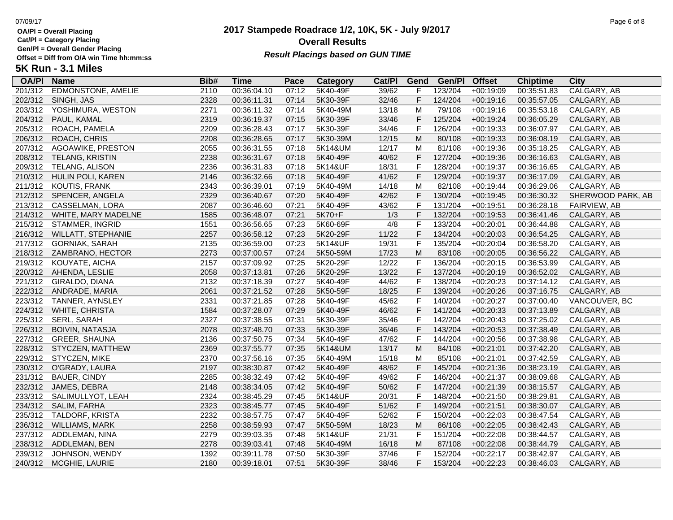**Cat/Pl = Category Placing**

**Gen/Pl = Overall Gender Placing**

### **2017 Stampede Roadrace 1/2, 10K, 5K - July 9/2017** 07/09/17 Page 6 of 8 **Overall Results** Gen/PI = Overall Gender Placing<br>Offset = Diff from O/A win Time hh:mm:ss *Result Placings based on GUN TIME*

| <b>OA/PI</b> | <b>Name</b>                | Bib# | Time        | Pace  | Category | Cat/PI | Gend        | Gen/Pl  | <b>Offset</b> | <b>Chiptime</b> | City                |
|--------------|----------------------------|------|-------------|-------|----------|--------|-------------|---------|---------------|-----------------|---------------------|
| 201/312      | <b>EDMONSTONE, AMELIE</b>  | 2110 | 00:36:04.10 | 07:12 | 5K40-49F | 39/62  |             | 123/204 | $+00:19:09$   | 00:35:51.83     | CALGARY, AB         |
| 202/312      | SINGH, JAS                 | 2328 | 00:36:11.31 | 07:14 | 5K30-39F | 32/46  | F           | 124/204 | $+00:19:16$   | 00:35:57.05     | CALGARY, AB         |
| 203/312      | YOSHIMURA, WESTON          | 2271 | 00:36:11.32 | 07:14 | 5K40-49M | 13/18  | M           | 79/108  | $+00:19:16$   | 00:35:53.18     | CALGARY, AB         |
| 204/312      | PAUL, KAMAL                | 2319 | 00:36:19.37 | 07:15 | 5K30-39F | 33/46  | F           | 125/204 | $+00:19:24$   | 00:36:05.29     | CALGARY, AB         |
| 205/312      | ROACH, PAMELA              | 2209 | 00:36:28.43 | 07:17 | 5K30-39F | 34/46  | F           | 126/204 | $+00:19:33$   | 00:36:07.97     | CALGARY, AB         |
| 206/312      | ROACH, CHRIS               | 2208 | 00:36:28.65 | 07:17 | 5K30-39M | 12/15  | M           | 80/108  | $+00:19:33$   | 00:36:08.19     | CALGARY, AB         |
| 207/312      | AGOAWIKE, PRESTON          | 2055 | 00:36:31.55 | 07:18 | 5K14&UM  | 12/17  | M           | 81/108  | $+00:19:36$   | 00:35:18.25     | CALGARY, AB         |
| 208/312      | <b>TELANG, KRISTIN</b>     | 2238 | 00:36:31.67 | 07:18 | 5K40-49F | 40/62  | $\mathsf F$ | 127/204 | $+00:19:36$   | 00:36:16.63     | CALGARY, AB         |
| 209/312      | TELANG, ALISON             | 2236 | 00:36:31.83 | 07:18 | 5K14&UF  | 18/31  | F           | 128/204 | $+00:19:37$   | 00:36:16.65     | CALGARY, AB         |
| 210/312      | HULIN POLI, KAREN          | 2146 | 00:36:32.66 | 07:18 | 5K40-49F | 41/62  | $\mathsf F$ | 129/204 | $+00:19:37$   | 00:36:17.09     | CALGARY, AB         |
| 211/312      | KOUTIS, FRANK              | 2343 | 00:36:39.01 | 07:19 | 5K40-49M | 14/18  | M           | 82/108  | $+00:19:44$   | 00:36:29.06     | CALGARY, AB         |
| 212/312      | SPENCER, ANGELA            | 2329 | 00:36:40.67 | 07:20 | 5K40-49F | 42/62  | F           | 130/204 | $+00:19:45$   | 00:36:30.32     | SHERWOOD PARK, AB   |
| 213/312      | CASSELMAN, LORA            | 2087 | 00:36:46.60 | 07:21 | 5K40-49F | 43/62  | F           | 131/204 | $+00:19:51$   | 00:36:28.18     | <b>FAIRVIEW, AB</b> |
| 214/312      | <b>WHITE, MARY MADELNE</b> | 1585 | 00:36:48.07 | 07:21 | 5K70+F   | 1/3    | F           | 132/204 | $+00:19:53$   | 00:36:41.46     | CALGARY, AB         |
| 215/312      | STAMMER, INGRID            | 1551 | 00:36:56.65 | 07:23 | 5K60-69F | 4/8    | F           | 133/204 | $+00:20:01$   | 00:36:44.88     | CALGARY, AB         |
| 216/312      | <b>WILLATT, STEPHANIE</b>  | 2257 | 00:36:58.12 | 07:23 | 5K20-29F | 11/22  | $\mathsf F$ | 134/204 | $+00:20:03$   | 00:36:54.25     | CALGARY, AB         |
| 217/312      | <b>GORNIAK, SARAH</b>      | 2135 | 00:36:59.00 | 07:23 | 5K14&UF  | 19/31  | $\mathsf F$ | 135/204 | $+00:20:04$   | 00:36:58.20     | CALGARY, AB         |
| 218/312      | ZAMBRANO, HECTOR           | 2273 | 00:37:00.57 | 07:24 | 5K50-59M | 17/23  | M           | 83/108  | $+00:20:05$   | 00:36:56.22     | CALGARY, AB         |
| 219/312      | KOUYATE, AICHA             | 2157 | 00:37:09.92 | 07:25 | 5K20-29F | 12/22  | F           | 136/204 | $+00:20:15$   | 00:36:53.99     | CALGARY, AB         |
| 220/312      | AHENDA, LESLIE             | 2058 | 00:37:13.81 | 07:26 | 5K20-29F | 13/22  | $\mathsf F$ | 137/204 | $+00:20:19$   | 00:36:52.02     | CALGARY, AB         |
| 221/312      | GIRALDO, DIANA             | 2132 | 00:37:18.39 | 07:27 | 5K40-49F | 44/62  | F           | 138/204 | $+00:20:23$   | 00:37:14.12     | CALGARY, AB         |
| 222/312      | ANDRADE, MARIA             | 2061 | 00:37:21.52 | 07:28 | 5K50-59F | 18/25  | F           | 139/204 | $+00:20:26$   | 00:37:16.75     | CALGARY, AB         |
| 223/312      | TANNER, AYNSLEY            | 2331 | 00:37:21.85 | 07:28 | 5K40-49F | 45/62  | F           | 140/204 | $+00:20:27$   | 00:37:00.40     | VANCOUVER, BC       |
| 224/312      | WHITE, CHRISTA             | 1584 | 00:37:28.07 | 07:29 | 5K40-49F | 46/62  | $\mathsf F$ | 141/204 | $+00:20:33$   | 00:37:13.89     | CALGARY, AB         |
| 225/312      | SERL, SARAH                | 2327 | 00:37:38.55 | 07:31 | 5K30-39F | 35/46  | F           | 142/204 | $+00:20:43$   | 00:37:25.02     | CALGARY, AB         |
| 226/312      | <b>BOIVIN, NATASJA</b>     | 2078 | 00:37:48.70 | 07:33 | 5K30-39F | 36/46  | $\mathsf F$ | 143/204 | $+00:20:53$   | 00:37:38.49     | CALGARY, AB         |
| 227/312      | GREER, SHAUNA              | 2136 | 00:37:50.75 | 07:34 | 5K40-49F | 47/62  | F           | 144/204 | $+00:20:56$   | 00:37:38.98     | CALGARY, AB         |
| 228/312      | STYCZEN, MATTHEW           | 2369 | 00:37:55.77 | 07:35 | 5K14&UM  | 13/17  | M           | 84/108  | $+00:21:01$   | 00:37:42.20     | CALGARY, AB         |
| 229/312      | STYCZEN, MIKE              | 2370 | 00:37:56.16 | 07:35 | 5K40-49M | 15/18  | M           | 85/108  | $+00:21:01$   | 00:37:42.59     | CALGARY, AB         |
| 230/312      | O'GRADY, LAURA             | 2197 | 00:38:30.87 | 07:42 | 5K40-49F | 48/62  | F           | 145/204 | $+00:21:36$   | 00:38:23.19     | CALGARY, AB         |
| 231/312      | <b>BAUER, CINDY</b>        | 2285 | 00:38:32.49 | 07:42 | 5K40-49F | 49/62  | F           | 146/204 | $+00:21:37$   | 00:38:09.68     | CALGARY, AB         |
| 232/312      | JAMES, DEBRA               | 2148 | 00:38:34.05 | 07:42 | 5K40-49F | 50/62  | F           | 147/204 | $+00:21:39$   | 00:38:15.57     | CALGARY, AB         |
| 233/312      | SALIMULLYOT, LEAH          | 2324 | 00:38:45.29 | 07:45 | 5K14&UF  | 20/31  | F           | 148/204 | $+00:21:50$   | 00:38:29.81     | CALGARY, AB         |
| 234/312      | SALIM, FARHA               | 2323 | 00:38:45.77 | 07:45 | 5K40-49F | 51/62  | F           | 149/204 | $+00:21:51$   | 00:38:30.07     | CALGARY, AB         |
| 235/312      | TALDORF, KRISTA            | 2232 | 00:38:57.75 | 07:47 | 5K40-49F | 52/62  | F           | 150/204 | $+00:22:03$   | 00:38:47.54     | CALGARY, AB         |
| 236/312      | WILLIAMS, MARK             | 2258 | 00:38:59.93 | 07:47 | 5K50-59M | 18/23  | M           | 86/108  | $+00:22:05$   | 00:38:42.43     | CALGARY, AB         |
| 237/312      | ADDLEMAN, NINA             | 2279 | 00:39:03.35 | 07:48 | 5K14&UF  | 21/31  | F           | 151/204 | $+00:22:08$   | 00:38:44.57     | CALGARY, AB         |
| 238/312      | ADDLEMAN, BEN              | 2278 | 00:39:03.41 | 07:48 | 5K40-49M | 16/18  | M           | 87/108  | $+00:22:08$   | 00:38:44.79     | CALGARY, AB         |
| 239/312      | JOHNSON, WENDY             | 1392 | 00:39:11.78 | 07:50 | 5K30-39F | 37/46  | F           | 152/204 | $+00:22:17$   | 00:38:42.97     | CALGARY, AB         |
| 240/312      | MCGHIE, LAURIE             | 2180 | 00:39:18.01 | 07:51 | 5K30-39F | 38/46  | F           | 153/204 | $+00:22:23$   | 00:38:46.03     | CALGARY, AB         |
|              |                            |      |             |       |          |        |             |         |               |                 |                     |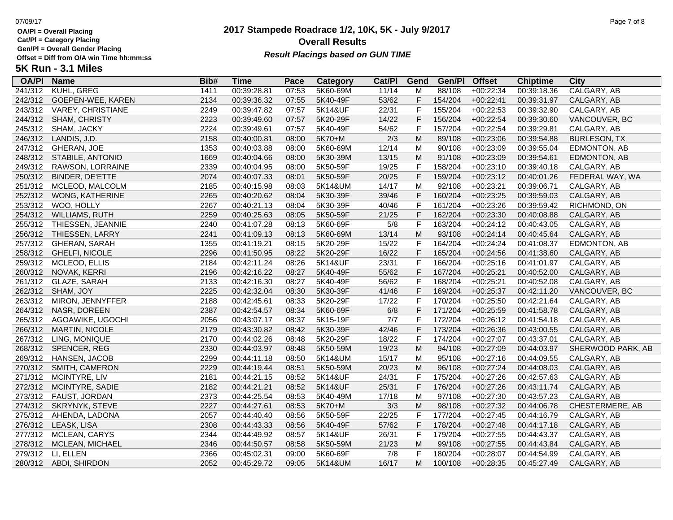**Cat/Pl = Category Placing**

**Gen/Pl = Overall Gender Placing**

### **2017 Stampede Roadrace 1/2, 10K, 5K - July 9/2017** 07/09/17 Page 7 of 8 **Overall Results Result Placings based on GUN TIME**

| <b>OA/PI</b> | <b>Name</b>              | Bib# | Time        | Pace  | <b>Category</b> | Cat/PI | Gend           | Gen/Pl  | <b>Offset</b> | <b>Chiptime</b> | City                |
|--------------|--------------------------|------|-------------|-------|-----------------|--------|----------------|---------|---------------|-----------------|---------------------|
| 241/312      | <b>KUHL, GREG</b>        | 1411 | 00:39:28.81 | 07:53 | 5K60-69M        | 11/14  | M              | 88/108  | $+00:22:34$   | 00:39:18.36     | CALGARY, AB         |
| 242/312      | GOEPEN-WEE, KAREN        | 2134 | 00:39:36.32 | 07:55 | 5K40-49F        | 53/62  | F              | 154/204 | $+00:22:41$   | 00:39:31.97     | CALGARY, AB         |
| 243/312      | <b>VAREY, CHRISTIANE</b> | 2249 | 00:39:47.82 | 07:57 | 5K14&UF         | 22/31  | F              | 155/204 | $+00:22:53$   | 00:39:32.90     | CALGARY, AB         |
| 244/312      | SHAM, CHRISTY            | 2223 | 00:39:49.60 | 07:57 | 5K20-29F        | 14/22  | F              | 156/204 | $+00:22:54$   | 00:39:30.60     | VANCOUVER, BC       |
| 245/312      | SHAM, JACKY              | 2224 | 00:39:49.61 | 07:57 | 5K40-49F        | 54/62  | $\mathsf F$    | 157/204 | $+00:22:54$   | 00:39:29.81     | CALGARY, AB         |
| 246/312      | LANDIS, J.D.             | 2158 | 00:40:00.81 | 08:00 | 5K70+M          | 2/3    | M              | 89/108  | $+00:23:06$   | 00:39:54.88     | <b>BURLESON, TX</b> |
| 247/312      | GHERAN, JOE              | 1353 | 00:40:03.88 | 08:00 | 5K60-69M        | 12/14  | M              | 90/108  | $+00:23:09$   | 00:39:55.04     | EDMONTON, AB        |
| 248/312      | STABILE, ANTONIO         | 1669 | 00:40:04.66 | 08:00 | 5K30-39M        | 13/15  | M              | 91/108  | $+00:23:09$   | 00:39:54.61     | EDMONTON, AB        |
| 249/312      | RAWSON, LORRAINE         | 2339 | 00:40:04.95 | 08:00 | 5K50-59F        | 19/25  | F              | 158/204 | $+00:23:10$   | 00:39:40.18     | CALGARY, AB         |
| 250/312      | BINDER, DE'ETTE          | 2074 | 00:40:07.33 | 08:01 | 5K50-59F        | 20/25  | F              | 159/204 | $+00:23:12$   | 00:40:01.26     | FEDERAL WAY, WA     |
| 251/312      | MCLEOD, MALCOLM          | 2185 | 00:40:15.98 | 08:03 | 5K14&UM         | 14/17  | M              | 92/108  | $+00:23:21$   | 00:39:06.71     | CALGARY, AB         |
| 252/312      | WONG, KATHERINE          | 2265 | 00:40:20.62 | 08:04 | 5K30-39F        | 39/46  | $\mathsf F$    | 160/204 | $+00:23:25$   | 00:39:59.03     | CALGARY, AB         |
| 253/312      | WOO, HOLLY               | 2267 | 00:40:21.13 | 08:04 | 5K30-39F        | 40/46  | F              | 161/204 | $+00:23:26$   | 00:39:59.42     | RICHMOND, ON        |
| 254/312      | WILLIAMS, RUTH           | 2259 | 00:40:25.63 | 08:05 | 5K50-59F        | 21/25  | F              | 162/204 | $+00:23:30$   | 00:40:08.88     | CALGARY, AB         |
| 255/312      | THIESSEN, JEANNIE        | 2240 | 00:41:07.28 | 08:13 | 5K60-69F        | 5/8    | F              | 163/204 | $+00:24:12$   | 00:40:43.05     | CALGARY, AB         |
| 256/312      | THIESSEN, LARRY          | 2241 | 00:41:09.13 | 08:13 | 5K60-69M        | 13/14  | M              | 93/108  | $+00:24:14$   | 00:40:45.64     | CALGARY, AB         |
| 257/312      | <b>GHERAN, SARAH</b>     | 1355 | 00:41:19.21 | 08:15 | 5K20-29F        | 15/22  | $\mathsf{F}$   | 164/204 | $+00:24:24$   | 00:41:08.37     | EDMONTON, AB        |
| 258/312      | GHELFI, NICOLE           | 2296 | 00:41:50.95 | 08:22 | 5K20-29F        | 16/22  | F              | 165/204 | $+00:24:56$   | 00:41:38.60     | CALGARY, AB         |
| 259/312      | MCLEOD, ELLIS            | 2184 | 00:42:11.24 | 08:26 | 5K14&UF         | 23/31  | F              | 166/204 | $+00:25:16$   | 00:41:01.97     | CALGARY, AB         |
| 260/312      | NOVAK, KERRI             | 2196 | 00:42:16.22 | 08:27 | 5K40-49F        | 55/62  | F              | 167/204 | $+00:25:21$   | 00:40:52.00     | CALGARY, AB         |
| 261/312      | GLAZE, SARAH             | 2133 | 00:42:16.30 | 08:27 | 5K40-49F        | 56/62  | $\overline{F}$ | 168/204 | $+00:25:21$   | 00:40:52.08     | CALGARY, AB         |
| 262/312      | SHAM, JOY                | 2225 | 00:42:32.04 | 08:30 | 5K30-39F        | 41/46  | $\mathsf F$    | 169/204 | $+00:25:37$   | 00:42:11.20     | VANCOUVER, BC       |
| 263/312      | MIRON, JENNYFFER         | 2188 | 00:42:45.61 | 08:33 | 5K20-29F        | 17/22  | F              | 170/204 | $+00:25:50$   | 00:42:21.64     | CALGARY, AB         |
| 264/312      | NASR, DOREEN             | 2387 | 00:42:54.57 | 08:34 | 5K60-69F        | 6/8    | F              | 171/204 | $+00:25:59$   | 00:41:58.78     | CALGARY, AB         |
| 265/312      | AGOAWIKE, UGOCHI         | 2056 | 00:43:07.17 | 08:37 | 5K15-19F        | 7/7    | E              | 172/204 | $+00:26:12$   | 00:41:54.18     | CALGARY, AB         |
| 266/312      | <b>MARTIN, NICOLE</b>    | 2179 | 00:43:30.82 | 08:42 | 5K30-39F        | 42/46  | $\mathsf{F}$   | 173/204 | $+00:26:36$   | 00:43:00.55     | CALGARY, AB         |
| 267/312      | LING, MONIQUE            | 2170 | 00:44:02.26 | 08:48 | 5K20-29F        | 18/22  | F              | 174/204 | $+00:27:07$   | 00:43:37.01     | CALGARY, AB         |
| 268/312      | SPENCER, REG             | 2330 | 00:44:03.97 | 08:48 | 5K50-59M        | 19/23  | M              | 94/108  | $+00:27:09$   | 00:44:03.97     | SHERWOOD PARK, AB   |
| 269/312      | HANSEN, JACOB            | 2299 | 00:44:11.18 | 08:50 | 5K14&UM         | 15/17  | M              | 95/108  | $+00:27:16$   | 00:44:09.55     | CALGARY, AB         |
| 270/312      | SMITH, CAMERON           | 2229 | 00:44:19.44 | 08:51 | 5K50-59M        | 20/23  | M              | 96/108  | $+00:27:24$   | 00:44:08.03     | CALGARY, AB         |
| 271/312      | MCINTYRE, LIV            | 2181 | 00:44:21.15 | 08:52 | 5K14&UF         | 24/31  | $\mathsf F$    | 175/204 | $+00:27:26$   | 00:42:57.63     | CALGARY, AB         |
| 272/312      | MCINTYRE, SADIE          | 2182 | 00:44:21.21 | 08:52 | 5K14&UF         | 25/31  | $\mathsf F$    | 176/204 | $+00:27:26$   | 00:43:11.74     | CALGARY, AB         |
| 273/312      | FAUST, JORDAN            | 2373 | 00:44:25.54 | 08:53 | 5K40-49M        | 17/18  | M              | 97/108  | $+00:27:30$   | 00:43:57.23     | CALGARY, AB         |
| 274/312      | SKRYNYK, STEVE           | 2227 | 00:44:27.61 | 08:53 | 5K70+M          | 3/3    | M              | 98/108  | $+00:27:32$   | 00:44:06.78     | CHESTERMERE, AB     |
| 275/312      | AHENDA, LADONA           | 2057 | 00:44:40.40 | 08:56 | 5K50-59F        | 22/25  | F              | 177/204 | $+00:27:45$   | 00:44:16.79     | CALGARY, AB         |
| 276/312      | LEASK, LISA              | 2308 | 00:44:43.33 | 08:56 | 5K40-49F        | 57/62  | $\overline{F}$ | 178/204 | $+00:27:48$   | 00:44:17.18     | CALGARY, AB         |
| 277/312      | MCLEAN, CARYS            | 2344 | 00:44:49.92 | 08:57 | 5K14&UF         | 26/31  | $\mathsf{F}$   | 179/204 | $+00:27:55$   | 00:44:43.37     | CALGARY, AB         |
| 278/312      | MCLEAN, MICHAEL          | 2346 | 00:44:50.57 | 08:58 | 5K50-59M        | 21/23  | M              | 99/108  | $+00:27:55$   | 00:44:43.84     | CALGARY, AB         |
| 279/312      | LI, ELLEN                | 2366 | 00:45:02.31 | 09:00 | 5K60-69F        | 7/8    | F              | 180/204 | $+00:28:07$   | 00:44:54.99     | CALGARY, AB         |
| 280/312      | ABDI, SHIRDON            | 2052 | 00:45:29.72 | 09:05 | 5K14&UM         | 16/17  | M              | 100/108 | $+00:28:35$   | 00:45:27.49     | CALGARY, AB         |
|              |                          |      |             |       |                 |        |                |         |               |                 |                     |